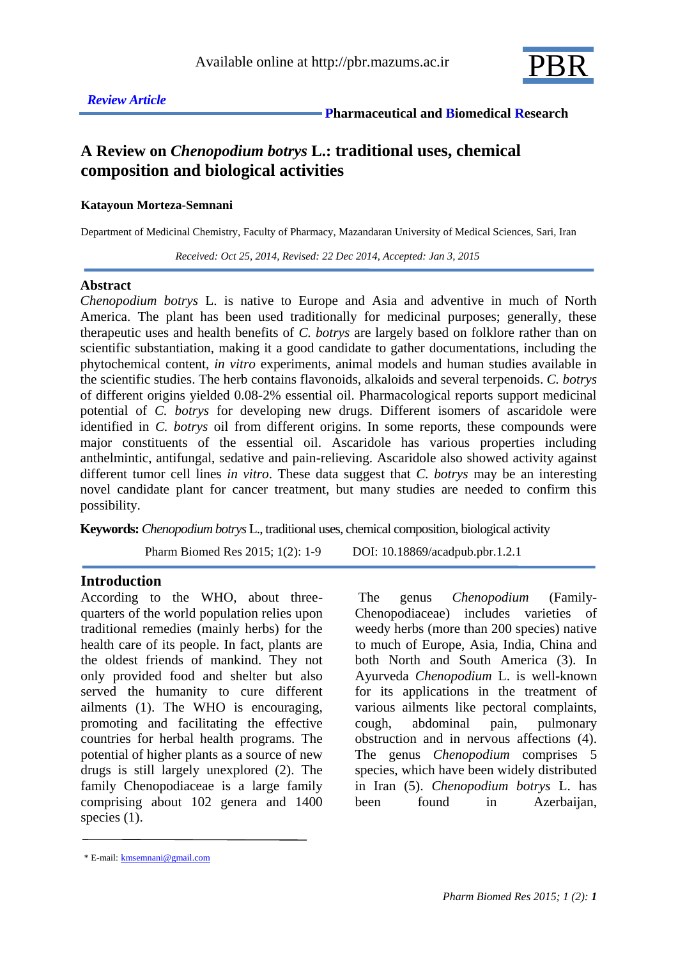

# **A Review on** *Chenopodium botrys* **L.: traditional uses, chemical composition and biological activities**

#### **Katayoun Morteza-Semnani**

Department of Medicinal Chemistry, Faculty of Pharmacy, Mazandaran University of Medical Sciences, Sari, Iran

 *Received: Oct 25, 2014, Revised: 22 Dec 2014, Accepted: Jan 3, 2015*

#### **Abstract**

*Chenopodium botrys* L. is native to Europe and Asia and adventive in much of North America. The plant has been used traditionally for medicinal purposes; generally, these therapeutic uses and health benefits of *C. botrys* are largely based on folklore rather than on scientific substantiation, making it a good candidate to gather documentations, including the phytochemical content, *in vitro* experiments, animal models and human studies available in the scientific studies. The herb contains flavonoids, alkaloids and several terpenoids. *C. botrys* of different origins yielded 0.08-2% essential oil. Pharmacological reports support medicinal potential of *C. botrys* for developing new drugs. Different isomers of ascaridole were identified in *C. botrys* oil from different origins. In some reports, these compounds were major constituents of the essential oil. Ascaridole has various properties including anthelmintic, antifungal, sedative and pain-relieving. Ascaridole also showed activity against different tumor cell lines *in vitro*. These data suggest that *C. botrys* may be an interesting novel candidate plant for cancer treatment, but many studies are needed to confirm this possibility.

**Keywords:** *Chenopodium botrys* L., traditional uses, chemical composition, biological activity

Pharm Biomed Res 2015; 1(2): 1-9 DOI: 10.18869/acadpub.pbr.1.2.1

### **Introduction**

According to the WHO, about threequarters of the world population relies upon traditional remedies (mainly herbs) for the health care of its people. In fact, plants are the oldest friends of mankind. They not only provided food and shelter but also served the humanity to cure different ailments (1). The WHO is encouraging, promoting and facilitating the effective countries for herbal health programs. The potential of higher plants as a source of new drugs is still largely unexplored (2). The family Chenopodiaceae is a large family comprising about 102 genera and 1400 species  $(1)$ .

The genus *Chenopodium* (Family-Chenopodiaceae) includes varieties of weedy herbs (more than 200 species) native to much of Europe, Asia, India, China and both North and South America (3). In Ayurveda *Chenopodium* L. is well-known for its applications in the treatment of various ailments like pectoral complaints, cough, abdominal pain, pulmonary obstruction and in nervous affections (4). The genus *Chenopodium* comprises 5 species, which have been widely distributed in Iran (5). *Chenopodium botrys* L. has been found in Azerbaijan,

<sup>\*</sup> E-mail: kmsemnani@gmail.com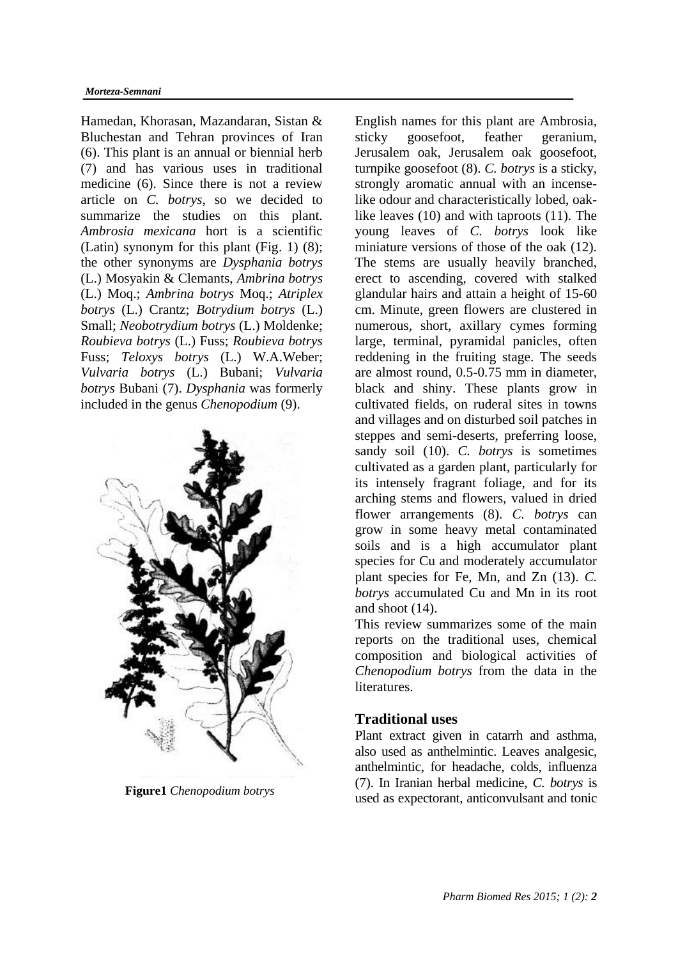Hamedan, Khorasan, Mazandaran, Sistan & Bluchestan and Tehran provinces of Iran (6). This plant is an annual or biennial herb (7) and has various uses in traditional medicine (6). Since there is not a review article on *C. botrys*, so we decided to summarize the studies on this plant. *Ambrosia mexicana* hort is a scientific (Latin) synonym for this plant (Fig. 1) (8); the other synonyms are *Dysphania botrys* (L.) Mosyakin & Clemants, *Ambrina botrys* (L.) Moq.; *Ambrina botrys* Moq.; *Atriplex botrys* (L.) Crantz; *Botrydium botrys* (L.) Small; *Neobotrydium botrys* (L.) Moldenke; *Roubieva botrys* (L.) Fuss; *Roubieva botrys* Fuss; *Teloxys botrys* (L.) W.A.Weber; *Vulvaria botrys* (L.) Bubani; *Vulvaria botrys* Bubani (7). *Dysphania* was formerly included in the genus *Chenopodium* (9).



English names for this plant are Ambrosia, sticky goosefoot, feather geranium, Jerusalem oak, Jerusalem oak goosefoot, turnpike goosefoot (8). *C. botrys* is a sticky, strongly aromatic annual with an incenselike odour and characteristically lobed, oaklike leaves (10) and with taproots (11). The young leaves of *C. botrys* look like miniature versions of those of the oak (12). The stems are usually heavily branched, erect to ascending, covered with stalked glandular hairs and attain a height of 15-60 cm. Minute, green flowers are clustered in numerous, short, axillary cymes forming large, terminal, pyramidal panicles, often reddening in the fruiting stage. The seeds are almost round, 0.5-0.75 mm in diameter, black and shiny. These plants grow in cultivated fields, on ruderal sites in towns and villages and on disturbed soil patches in steppes and semi-deserts, preferring loose, sandy soil (10). *C. botrys* is sometimes cultivated as a garden plant, particularly for its intensely fragrant foliage, and for its arching stems and flowers, valued in dried flower arrangements (8). *C. botrys* can grow in some heavy metal contaminated soils and is a high accumulator plant species for Cu and moderately accumulator plant species for Fe, Mn, and Zn (13). *C. botrys* accumulated Cu and Mn in its root and shoot (14).

This review summarizes some of the main reports on the traditional uses, chemical composition and biological activities of *Chenopodium botrys* from the data in the literatures.

# **Traditional uses**

Plant extract given in catarrh and asthma, also used as anthelmintic. Leaves analgesic, anthelmintic, for headache, colds, influenza (7). In Iranian herbal medicine, *C. botrys* is **Figure1** *Chenopodium botrys* used as expectorant, anticonvulsant and tonic used as expectorant.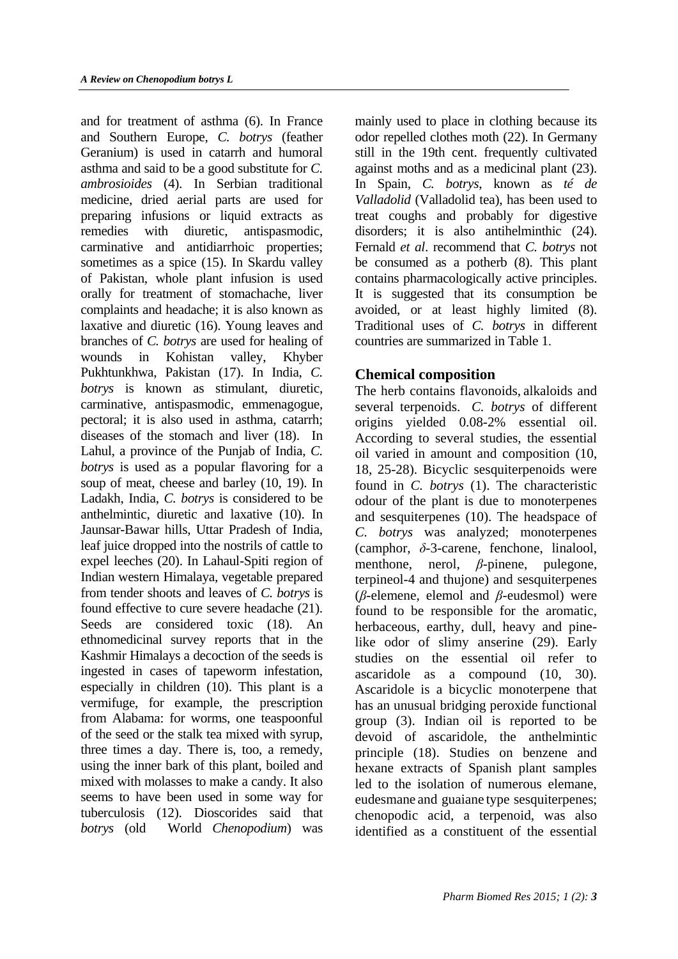and for treatment of asthma (6). In France and Southern Europe, *C. botrys* (feather Geranium) is used in catarrh and humoral asthma and said to be a good substitute for *C. ambrosioides* (4). In Serbian traditional medicine, dried aerial parts are used for preparing infusions or liquid extracts as remedies with diuretic, antispasmodic, carminative and antidiarrhoic properties; sometimes as a spice (15). In Skardu valley of Pakistan, whole plant infusion is used orally for treatment of stomachache, liver complaints and headache; it is also known as laxative and diuretic (16). Young leaves and branches of *C. botrys* are used for healing of wounds in Kohistan valley, Khyber Pukhtunkhwa, Pakistan (17). In India, *C. botrys* is known as stimulant, diuretic, carminative, antispasmodic, emmenagogue, pectoral; it is also used in asthma, catarrh; diseases of the stomach and liver (18). In Lahul, a province of the Punjab of India, *C. botrys* is used as a popular flavoring for a soup of meat, cheese and barley (10, 19). In Ladakh, India, *C. botrys* is considered to be anthelmintic, diuretic and laxative (10). In Jaunsar-Bawar hills, Uttar Pradesh of India, leaf juice dropped into the nostrils of cattle to expel leeches (20). In Lahaul-Spiti region of Indian western Himalaya, vegetable prepared from tender shoots and leaves of *C. botrys* is found effective to cure severe headache (21). Seeds are considered toxic (18). An ethnomedicinal survey reports that in the Kashmir Himalays a decoction of the seeds is ingested in cases of tapeworm infestation, especially in children (10). This plant is a vermifuge, for example, the prescription from Alabama: for worms, one teaspoonful of the seed or the stalk tea mixed with syrup, three times a day. There is, too, a remedy, using the inner bark of this plant, boiled and mixed with molasses to make a candy. It also seems to have been used in some way for tuberculosis (12). Dioscorides said that *botrys* (old World *Chenopodium*) was

mainly used to place in clothing because its odor repelled clothes moth (22). In Germany still in the 19th cent. frequently cultivated against moths and as a medicinal plant (23). In Spain, *C. botrys*, known as *té de Valladolid* (Valladolid tea), has been used to treat coughs and probably for digestive disorders; it is also antihelminthic (24). Fernald *et al*. recommend that *C. botrys* not be consumed as a potherb (8). This plant contains pharmacologically active principles. It is suggested that its consumption be avoided, or at least highly limited (8). Traditional uses of *C. botrys* in different countries are summarized in Table 1.

# **Chemical composition**

The herb contains flavonoids, alkaloids and several terpenoids. *C. botrys* of different origins yielded 0.08-2% essential oil. According to several studies, the essential oil varied in amount and composition (10, 18, 25-28). Bicyclic sesquiterpenoids were found in *C. botrys* (1). The characteristic odour of the plant is due to monoterpenes and sesquiterpenes (10). The headspace of *C. botrys* was analyzed; monoterpenes (camphor, *δ*-3-carene, fenchone, linalool, menthone, nerol, *β*-pinene, pulegone, terpineol-4 and thujone) and sesquiterpenes (*β*-elemene, elemol and *β*-eudesmol) were found to be responsible for the aromatic, herbaceous, earthy, dull, heavy and pinelike odor of slimy anserine (29). Early studies on the essential oil refer to ascaridole as a compound (10, 30). Ascaridole is a bicyclic monoterpene that has an unusual bridging peroxide functional group (3). Indian oil is reported to be devoid of ascaridole, the anthelmintic principle (18). Studies on benzene and hexane extracts of Spanish plant samples led to the isolation of numerous elemane, eudesmane and guaiane type sesquiterpenes; chenopodic acid, a terpenoid, was also identified as a constituent of the essential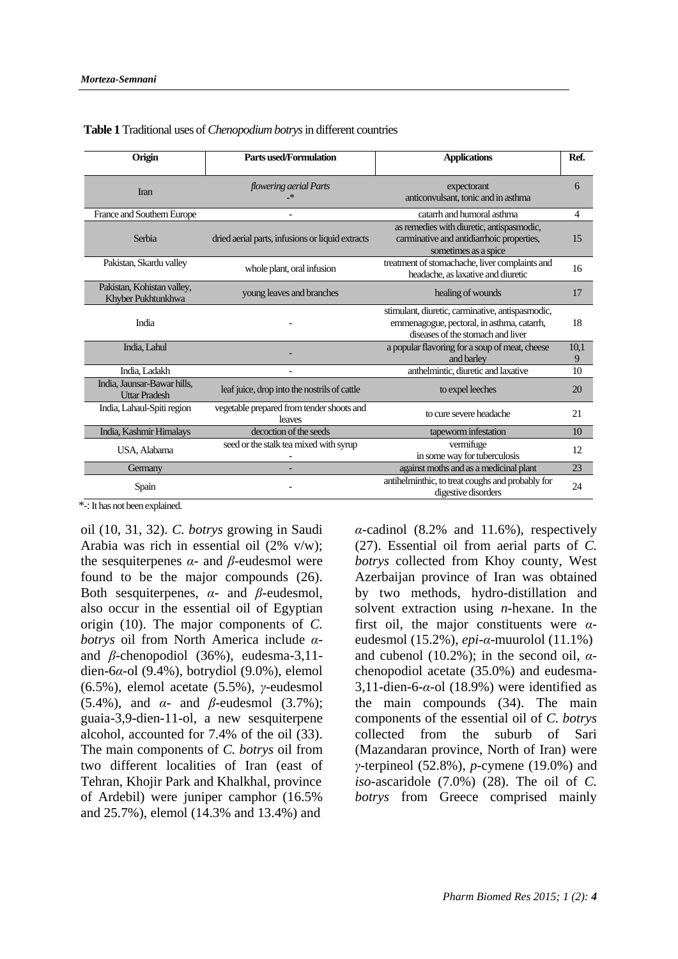| Origin                                              | Parts used/Formulation                              | <b>Applications</b>                                                                                                                 | Ref.      |
|-----------------------------------------------------|-----------------------------------------------------|-------------------------------------------------------------------------------------------------------------------------------------|-----------|
| Iran                                                | flowering aerial Parts<br>_*                        | expectorant<br>anticonvulsant, tonic and in asthma                                                                                  | 6         |
| France and Southern Europe                          | $\overline{a}$                                      | catarrh and humoral asthma                                                                                                          | 4         |
| Serbia                                              | dried aerial parts, infusions or liquid extracts    | as remedies with diuretic, antispasmodic,<br>carminative and antidiarrhoic properties,<br>sometimes as a spice                      | 15        |
| Pakistan, Skardu valley                             | whole plant, oral infusion                          | treatment of stomachache, liver complaints and<br>headache, as laxative and diuretic                                                | 16        |
| Pakistan, Kohistan valley,<br>Khyber Pukhtunkhwa    | young leaves and branches                           | healing of wounds                                                                                                                   | 17        |
| India                                               |                                                     | stimulant, diuretic, carminative, antispasmodic,<br>emmenagogue, pectoral, in asthma, catarrh,<br>diseases of the stomach and liver | 18        |
| India, Lahul                                        |                                                     | a popular flavoring for a soup of meat, cheese<br>and barley                                                                        | 10,1<br>9 |
| India, Ladakh                                       |                                                     | anthelmintic, diuretic and laxative                                                                                                 | 10        |
| India, Jaunsar-Bawar hills,<br><b>Uttar Pradesh</b> | leaf juice, drop into the nostrils of cattle        | to expel leeches                                                                                                                    | 20        |
| India, Lahaul-Spiti region                          | vegetable prepared from tender shoots and<br>leaves | to cure severe headache                                                                                                             | 21        |
| India, Kashmir Himalays                             | decoction of the seeds                              | tapeworm infestation                                                                                                                | 10        |
| USA, Alabama                                        | seed or the stalk tea mixed with syrup              | vermifuge<br>in some way for tuberculosis                                                                                           | 12        |
| Germany                                             |                                                     | against moths and as a medicinal plant                                                                                              | 23        |
| Spain                                               |                                                     | antihelminthic, to treat coughs and probably for<br>digestive disorders                                                             | 24        |

 **Table 1** Traditional uses of *Chenopodium botrys* in different countries

\*-: It has not been explained.

oil (10, 31, 32). *C. botrys* growing in Saudi Arabia was rich in essential oil (2% v/w); the sesquiterpenes  $\alpha$ - and  $\beta$ -eudesmol were found to be the major compounds (26). Both sesquiterpenes, *α*- and *β*-eudesmol, also occur in the essential oil of Egyptian origin (10). The major components of *C. botrys* oil from North America include *α*and *β*-chenopodiol (36%), eudesma-3,11 dien-6*α*-ol (9.4%), botrydiol (9.0%), elemol (6.5%), elemol acetate (5.5%), *γ*-eudesmol (5.4%), and *α*- and *β*-eudesmol (3.7%); guaia-3,9-dien-11-ol, a new sesquiterpene alcohol, accounted for 7.4% of the oil (33). The main components of *C. botrys* oil from two different localities of Iran (east of Tehran, Khojir Park and Khalkhal, province of Ardebil) were juniper camphor (16.5% and 25.7%), elemol (14.3% and 13.4%) and

*α*-cadinol (8.2% and 11.6%), respectively (27). Essential oil from aerial parts of *C. botrys* collected from Khoy county, West Azerbaijan province of Iran was obtained by two methods, hydro-distillation and solvent extraction using *n*-hexane. In the first oil, the major constituents were *α*eudesmol (15.2%), *epi*-*α*-muurolol (11.1%) and cubenol (10.2%); in the second oil,  $\alpha$ chenopodiol acetate (35.0%) and eudesma-3,11-dien-6-*α*-ol (18.9%) were identified as the main compounds (34). The main components of the essential oil of *C. botrys* collected from the suburb of Sari (Mazandaran province, North of Iran) were *γ*-terpineol (52.8%), *p*-cymene (19.0%) and *iso*-ascaridole (7.0%) (28). The oil of *C. botrys* from Greece comprised mainly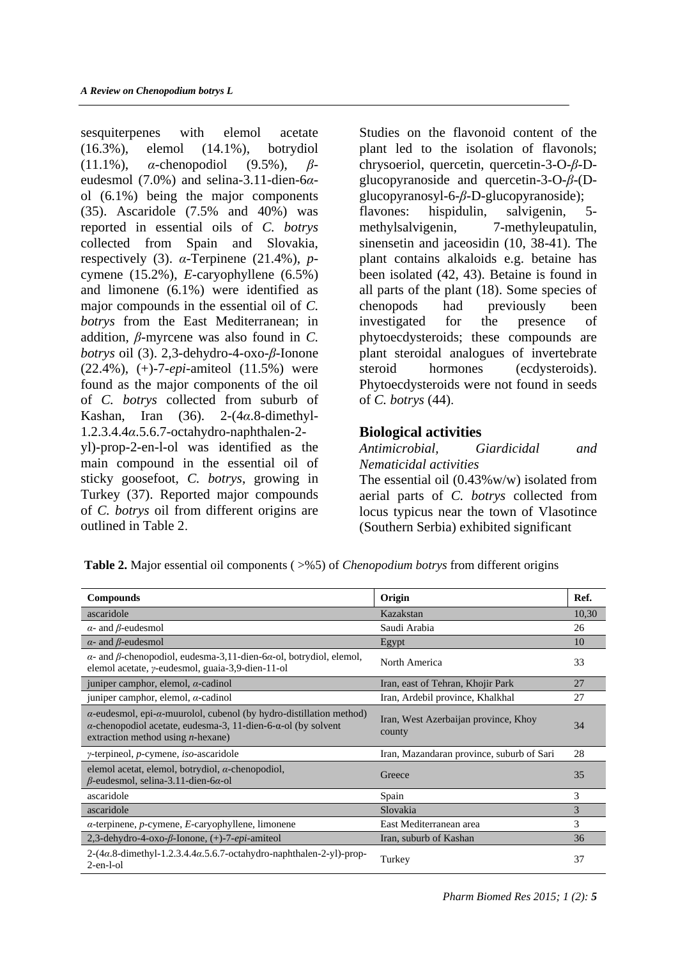sesquiterpenes with elemol acetate (16.3%), elemol (14.1%), botrydiol (11.1%), *α*-chenopodiol (9.5%), *β*eudesmol (7.0%) and selina-3.11-dien-6*α*ol (6.1%) being the major components (35). Ascaridole (7.5% and 40%) was reported in essential oils of *C. botrys* collected from Spain and Slovakia, respectively (3). *α*-Terpinene (21.4%), *p*cymene (15.2%), *E*-caryophyllene (6.5%) and limonene (6.1%) were identified as major compounds in the essential oil of *C. botrys* from the East Mediterranean; in addition, *β*-myrcene was also found in *C. botrys* oil (3). 2,3-dehydro-4-oxo-*β*-Ionone (22.4%), (+)-7-*epi*-amiteol (11.5%) were found as the major components of the oil of *C. botrys* collected from suburb of Kashan, Iran (36). 2-(4*α*.8-dimethyl-1.2.3.4.4*α*.5.6.7-octahydro-naphthalen-2 yl)-prop-2-en-l-ol was identified as the main compound in the essential oil of sticky goosefoot, *C. botrys*, growing in Turkey (37). Reported major compounds

of *C. botrys* oil from different origins are

outlined in Table 2.

Studies on the flavonoid content of the plant led to the isolation of flavonols; chrysoeriol, quercetin, quercetin-3-O-*β*-Dglucopyranoside and quercetin-3-O-*β*-(Dglucopyranosyl-6-*β*-D-glucopyranoside); flavones: hispidulin, salvigenin, 5 methylsalvigenin, 7-methyleupatulin, sinensetin and jaceosidin (10, 38-41). The plant contains alkaloids e.g. betaine has been isolated (42, 43). Betaine is found in all parts of the plant (18). Some species of chenopods had previously been investigated for the presence of phytoecdysteroids; these compounds are plant steroidal analogues of invertebrate steroid hormones (ecdysteroids). Phytoecdysteroids were not found in seeds of *C. botrys* (44).

## **Biological activities**

*Antimicrobial, Giardicidal and Nematicidal activities* The essential oil (0.43%w/w) isolated from aerial parts of *C. botrys* collected from locus typicus near the town of Vlasotince (Southern Serbia) exhibited significant

**Table 2.** Major essential oil components ( $>$ %5) of *Chenopodium botrys* from different origins

| <b>Compounds</b>                                                                                                                                                                                             | Origin                                         | Ref.  |
|--------------------------------------------------------------------------------------------------------------------------------------------------------------------------------------------------------------|------------------------------------------------|-------|
| ascaridole                                                                                                                                                                                                   | Kazakstan                                      | 10,30 |
| $\alpha$ - and $\beta$ -eudesmol                                                                                                                                                                             | Saudi Arabia                                   | 26    |
| $\alpha$ - and $\beta$ -eudesmol                                                                                                                                                                             | Egypt                                          | 10    |
| $\alpha$ - and $\beta$ -chenopodiol, eudesma-3,11-dien-6 $\alpha$ -ol, botrydiol, elemol,<br>elemol acetate, y-eudesmol, guaia-3,9-dien-11-ol                                                                | North America                                  | 33    |
| juniper camphor, elemol, $\alpha$ -cadinol                                                                                                                                                                   | Iran, east of Tehran, Khojir Park              | 27    |
| juniper camphor, elemol, $\alpha$ -cadinol                                                                                                                                                                   | Iran, Ardebil province, Khalkhal               | 27    |
| $\alpha$ -eudesmol, epi- $\alpha$ -muurolol, cubenol (by hydro-distillation method)<br>$\alpha$ -chenopodiol acetate, eudesma-3, 11-dien-6- $\alpha$ -ol (by solvent<br>extraction method using $n$ -hexane) | Iran, West Azerbaijan province, Khoy<br>county | 34    |
| $\gamma$ -terpineol, <i>p</i> -cymene, <i>iso</i> -ascaridole                                                                                                                                                | Iran, Mazandaran province, suburb of Sari      | 28    |
| elemol acetat, elemol, botrydiol, $\alpha$ -chenopodiol,<br>$\beta$ -eudesmol, selina-3.11-dien-6 $\alpha$ -ol                                                                                               | Greece                                         | 35    |
| ascaridole                                                                                                                                                                                                   | Spain                                          | 3     |
| ascaridole                                                                                                                                                                                                   | Slovakia                                       | 3     |
| $\alpha$ -terpinene, p-cymene, E-caryophyllene, limonene                                                                                                                                                     | East Mediterranean area                        | 3     |
| 2,3-dehydro-4-oxo- $\beta$ -Ionone, (+)-7- <i>epi</i> -amiteol                                                                                                                                               | Iran, suburb of Kashan                         | 36    |
| $2-(4\alpha.8$ -dimethyl-1.2.3.4.4 $\alpha$ .5.6.7-octahydro-naphthalen-2-yl)-prop-<br>$2$ -en-l-ol                                                                                                          | Turkey                                         | 37    |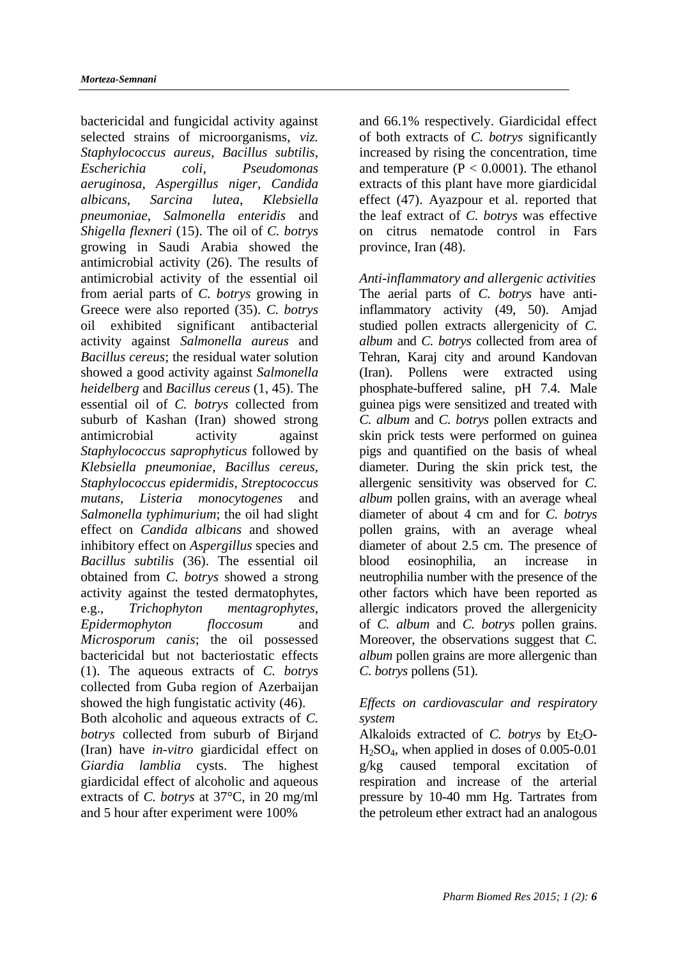bactericidal and fungicidal activity against selected strains of microorganisms, *viz. Staphylococcus aureus*, *Bacillus subtilis*, *Escherichia coli*, *Pseudomonas aeruginosa*, *Aspergillus niger*, *Candida albicans*, *Sarcina lutea*, *Klebsiella pneumoniae*, *Salmonella enteridis* and *Shigella flexneri* (15). The oil of *C. botrys* growing in Saudi Arabia showed the antimicrobial activity (26). The results of antimicrobial activity of the essential oil from aerial parts of *C. botrys* growing in Greece were also reported (35). *C. botrys* oil exhibited significant antibacterial activity against *Salmonella aureus* and *Bacillus cereus*; the residual water solution showed a good activity against *Salmonella heidelberg* and *Bacillus cereus* (1, 45). The essential oil of *C. botrys* collected from suburb of Kashan (Iran) showed strong antimicrobial activity against *Staphylococcus saprophyticus* followed by *Klebsiella pneumoniae*, *Bacillus cereus*, *Staphylococcus epidermidis*, *Streptococcus mutans*, *Listeria monocytogenes* and *Salmonella typhimurium*; the oil had slight effect on *Candida albicans* and showed inhibitory effect on *Aspergillus* species and *Bacillus subtilis* (36). The essential oil obtained from *C. botrys* showed a strong activity against the tested dermatophytes, e.g., *Trichophyton mentagrophytes*, *Epidermophyton floccosum* and *Microsporum canis*; the oil possessed bactericidal but not bacteriostatic effects (1). The aqueous extracts of *C. botrys* collected from Guba region of Azerbaijan showed the high fungistatic activity (46). Both alcoholic and aqueous extracts of *C. botrys* collected from suburb of Birjand (Iran) have *in-vitro* giardicidal effect on *Giardia lamblia* cysts. The highest giardicidal effect of alcoholic and aqueous

extracts of *C. botrys* at 37°C, in 20 mg/ml and 5 hour after experiment were 100%

and 66.1% respectively. Giardicidal effect of both extracts of *C. botrys* significantly increased by rising the concentration, time and temperature  $(P < 0.0001)$ . The ethanol extracts of this plant have more giardicidal effect (47). Ayazpour et al. reported that the leaf extract of *C. botrys* was effective on citrus nematode control in Fars province, Iran (48).

*Anti-inflammatory and allergenic activities* The aerial parts of *C. botrys* have antiinflammatory activity (49, 50). Amjad studied pollen extracts allergenicity of *C. album* and *C. botrys* collected from area of Tehran, Karaj city and around Kandovan (Iran). Pollens were extracted using phosphate-buffered saline, pH 7.4. Male guinea pigs were sensitized and treated with *C. album* and *C. botrys* pollen extracts and skin prick tests were performed on guinea pigs and quantified on the basis of wheal diameter. During the skin prick test, the allergenic sensitivity was observed for *C. album* pollen grains, with an average wheal diameter of about 4 cm and for *C. botrys* pollen grains, with an average wheal diameter of about 2.5 cm. The presence of blood eosinophilia, an increase in neutrophilia number with the presence of the other factors which have been reported as allergic indicators proved the allergenicity of *C. album* and *C. botrys* pollen grains. Moreover, the observations suggest that *C. album* pollen grains are more allergenic than *C. botrys* pollens (51).

## *Effects on cardiovascular and respiratory system*

Alkaloids extracted of *C. botrys* by Et<sub>2</sub>O- $H<sub>2</sub>SO<sub>4</sub>$ , when applied in doses of 0.005-0.01 g/kg caused temporal excitation of respiration and increase of the arterial pressure by 10-40 mm Hg. Tartrates from the petroleum ether extract had an analogous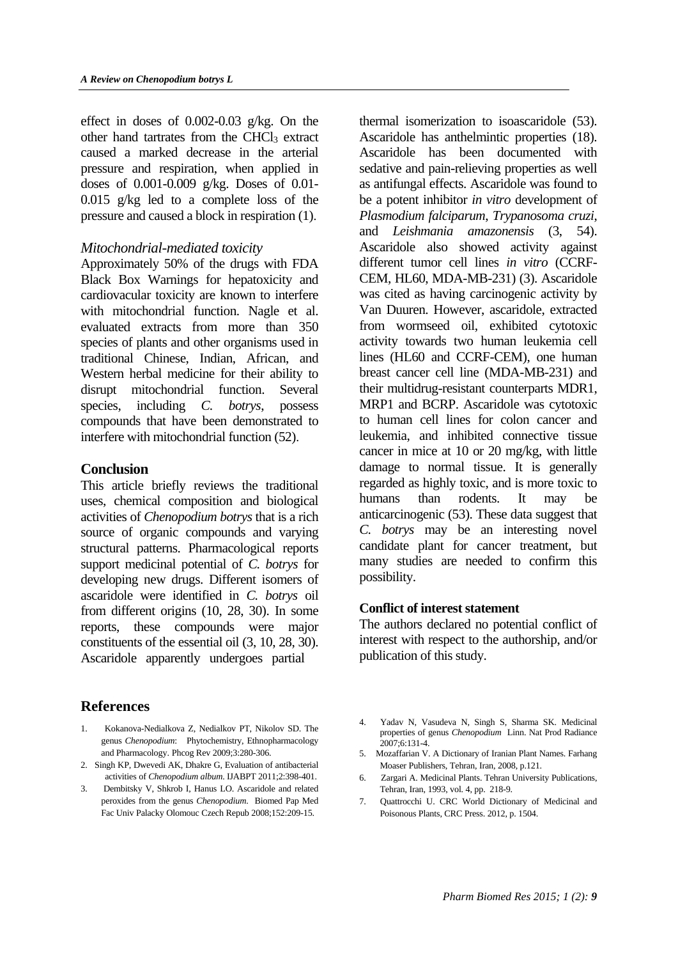effect in doses of 0.002-0.03 g/kg. On the other hand tartrates from the CHCl<sub>3</sub> extract caused a marked decrease in the arterial pressure and respiration, when applied in doses of 0.001-0.009 g/kg. Doses of 0.01- 0.015 g/kg led to a complete loss of the pressure and caused a block in respiration (1).

### *Mitochondrial-mediated toxicity*

Approximately 50% of the drugs with FDA Black Box Warnings for hepatoxicity and cardiovacular toxicity are known to interfere with mitochondrial function. Nagle et al. evaluated extracts from more than 350 species of plants and other organisms used in traditional Chinese, Indian, African, and Western herbal medicine for their ability to disrupt mitochondrial function. Several species, including *C. botrys*, possess compounds that have been demonstrated to interfere with mitochondrial function (52).

### **Conclusion**

This article briefly reviews the traditional uses, chemical composition and biological activities of *Chenopodium botrys* that is a rich source of organic compounds and varying structural patterns. Pharmacological reports support medicinal potential of *C. botrys* for developing new drugs. Different isomers of ascaridole were identified in *C. botrys* oil from different origins (10, 28, 30). In some reports, these compounds were major constituents of the essential oil (3, 10, 28, 30). Ascaridole apparently undergoes partial

# **References**

- 1. Kokanova-Nedialkova Z, Nedialkov PT, Nikolov SD. The genus *Chenopodium*: Phytochemistry, Ethnopharmacology and Pharmacology. Phcog Rev 2009;3:280-306.
- 2. Singh KP, Dwevedi AK, Dhakre G, Evaluation of antibacterial activities of *Chenopodium album*. IJABPT 2011;2:398-401.
- 3. Dembitsky V, Shkrob I, Hanus LO. Ascaridole and related peroxides from the genus *Chenopodium*. Biomed Pap Med Fac Univ Palacky Olomouc Czech Repub 2008;152:209-15.

thermal isomerization to isoascaridole (53). Ascaridole has anthelmintic properties (18). Ascaridole has been documented with sedative and pain-relieving properties as well as antifungal effects. Ascaridole was found to be a potent inhibitor *in vitro* development of *Plasmodium falciparum*, *Trypanosoma cruzi*, and *Leishmania amazonensis* (3, 54). Ascaridole also showed activity against different tumor cell lines *in vitro* (CCRF-CEM, HL60, MDA-MB-231) (3). Ascaridole was cited as having carcinogenic activity by Van Duuren. However, ascaridole, extracted from wormseed oil, exhibited cytotoxic activity towards two human leukemia cell lines (HL60 and CCRF-CEM), one human breast cancer cell line (MDA-MB-231) and their multidrug-resistant counterparts MDR1, MRP1 and BCRP. Ascaridole was cytotoxic to human cell lines for colon cancer and leukemia, and inhibited connective tissue cancer in mice at 10 or 20 mg/kg, with little damage to normal tissue. It is generally regarded as highly toxic, and is more toxic to humans than rodents. It may be anticarcinogenic (53). These data suggest that *C. botrys* may be an interesting novel candidate plant for cancer treatment, but many studies are needed to confirm this possibility.

#### **Conflict of interest statement**

The authors declared no potential conflict of interest with respect to the authorship, and/or publication of this study.

- 4. Yadav N, Vasudeva N, Singh S, Sharma SK. [Medicinal](http://nopr.niscair.res.in/bitstream/123456789/7849/1/NPR%206%282%29%20131-134.pdf)  [properties of genus](http://nopr.niscair.res.in/bitstream/123456789/7849/1/NPR%206%282%29%20131-134.pdf) *Chenopodium* Linn. Nat Prod Radiance 2007;6:131-4.
- 5. Mozaffarian V. A Dictionary of Iranian Plant Names. Farhang Moaser Publishers, Tehran, Iran, 2008, p.121.
- 6. Zargari A. Medicinal Plants. Tehran University Publications, Tehran, Iran, 1993, vol. 4, pp. 218-9.
- 7. Quattrocchi U. CRC World Dictionary of Medicinal and Poisonous Plants, CRC Press. 2012, p. 1504.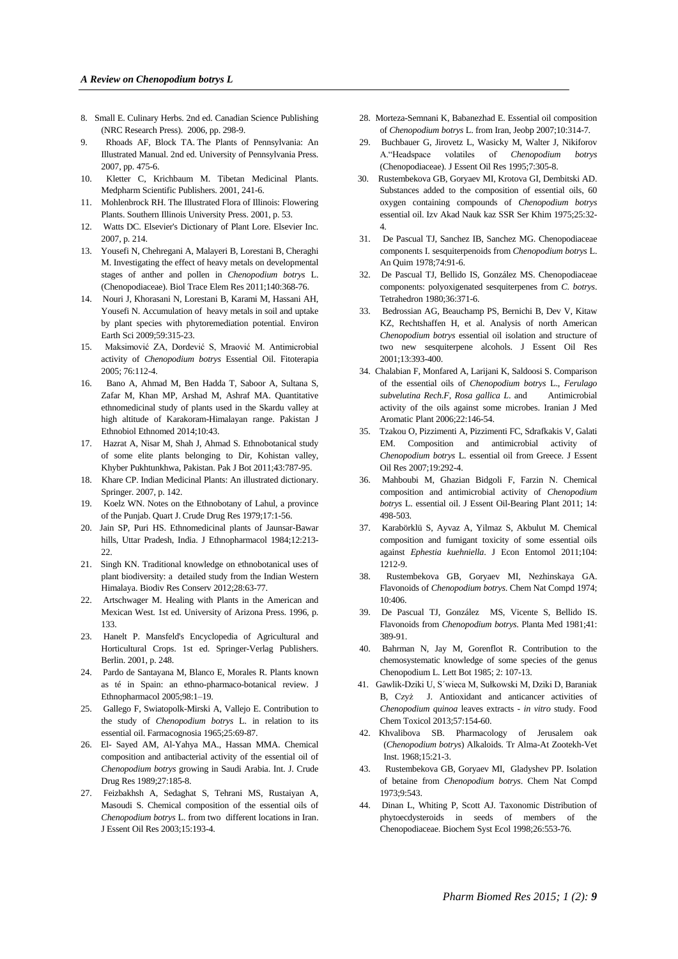- 8. Small E. Culinary Herbs. 2nd ed. Canadian Science Publishing (NRC Research Press). 2006, pp. 298-9.
- 9. Rhoads AF, Block TA. The Plants of Pennsylvania: An Illustrated Manual. 2nd ed. University of Pennsylvania Press. 2007, pp. 475-6.
- 10. [Kletter C, Krichbaum](http://jcmb.halic.edu.tr/pdf/6-1/Tibetan.pdf) M. Tibetan Medicinal Plants. Medpharm Scientific Publishers. 2001, 241-6.
- 11. Mohlenbrock RH. The Illustrated Flora of Illinois: Flowering Plants. Southern Illinois University Press. 2001, p. 53.
- 12. Watts DC. Elsevier's Dictionary of Plant Lore. Elsevier Inc. 2007, p. 214.
- 13. Yousefi N, Chehregani A, Malayeri B, Lorestani B, Cheraghi M. Investigating the effect of heavy metals on developmental stages of anther and pollen in *Chenopodium botrys* L. (Chenopodiaceae). Biol Trace Elem Res 2011;140:368-76.
- 14. Nouri J, Khorasani N, Lorestani B, Karami M, Hassani AH, Yousefi N. Accumulation of heavy metals in soil and uptake by plant species with phytoremediation potential. Environ Earth Sci 2009;59:315-23.
- 15. Maksimović ZA, Dordević S, Mraović M. Antimicrobial activity of *Chenopodium botrys* Essential Oil. Fitoterapia 2005; 76:112-4.
- 16. Bano A, Ahmad M, Ben Hadda T, Saboor A, Sultana S, Zafar M, Khan MP, Arshad M, Ashraf MA. Quantitative ethnomedicinal study of plants used in the Skardu valley at high altitude of Karakoram-Himalayan range. Pakistan J Ethnobiol Ethnomed 2014;10:43.
- 17. Hazrat A, Nisar M, Shah J, Ahmad S. Ethnobotanical study of some elite plants belonging to Dir, Kohistan valley, Khyber Pukhtunkhwa, Pakistan. Pak J Bot 2011;43:787-95.
- 18. Khare CP. Indian Medicinal Plants: An illustrated dictionary. Springer. 2007, p. 142.
- 19. Koelz WN. Notes on the Ethnobotany of Lahul, a province of the Punjab. Quart J. Crude Drug Res 1979;17:1-56.
- 20. Jain SP, Puri HS. Ethnomedicinal plants of Jaunsar-Bawar hills, Uttar Pradesh, India. J Ethnopharmacol 1984;12:213- 22.
- 21. Singh KN. Traditional knowledge on ethnobotanical uses of plant biodiversity: a detailed study from the Indian Western Himalaya. Biodiv Res Conserv 2012;28:63-77.
- 22. Artschwager M. Healing with Plants in the American and Mexican West. 1st ed. University of Arizona Press. 1996, p. 133.
- 23. Hanelt P. Mansfeld's Encyclopedia of Agricultural and Horticultural Crops. 1st ed. Springer-Verlag Publishers. Berlin. 2001, p. 248.
- 24. Pardo de Santayana M, Blanco E, Morales R. Plants known as té in Spain: an ethno-pharmaco-botanical review. J Ethnopharmacol 2005;98:1–19.
- 25. Gallego F, Swiatopolk-Mirski A, Vallejo E. Contribution to the study of *Chenopodium botrys* L. in relation to its essential oil. Farmacognosia 1965;25:69-87.
- 26. El- Sayed AM, Al-Yahya MA., [Hassan](http://www.researchgate.net/researcher/2001172314_Mahmoud_M_A_Hassan) MMA. Chemical composition and antibacterial activity of the essential oil of *Chenopodium botrys* growing in Saudi Arabia. Int. J. Crude Drug Res 1989;27:185-8.
- 27. Feizbakhsh A, Sedaghat S, Tehrani MS, Rustaiyan A, Masoudi S. Chemical composition of the essential oils of *Chenopodium botrys* L. from two different locations in Iran. J Essent Oil Res 2003;15:193-4.
- 28. Morteza-Semnani K, Babanezhad E. Essential oil composition of *Chenopodium botrys* L. from Iran, Jeobp 2007;10:314-7.
- 29. Buchbauer G, Jirovetz L, Wasicky M, Walter J, Nikiforov A."Headspace volatiles of *Chenopodium botrys* (Chenopodiaceae). J Essent Oil Res 1995;7:305-8.
- 30. [Rustembekova](http://link.springer.com/search?facet-author=%22G.+B.+Rustembekova%22) GB, Goryaev MI, Krotova GI, Dembitski AD. Substances added to the composition of essential oils, 60 oxygen containing compounds of *Chenopodium botrys* essential oil. Izv Akad Nauk kaz SSR Ser Khim 1975;25:32- 4.
- 31. De Pascual TJ, Sanchez IB, Sanchez MG. Chenopodiaceae components I. sesquiterpenoids from *Chenopodium botrys* L. An Quim 1978;74:91-6.
- 32. De Pascual TJ, Bellido IS, González MS. Chenopodiaceae components: polyoxigenated sesquiterpenes from *C. botrys*. Tetrahedron 1980;36:371-6.
- 33. Bedrossian AG, Beauchamp PS, Bernichi B, Dev V, Kitaw KZ, Rechtshaffen H, et al. Analysis of north American *Chenopodium botrys* essential oil isolation and structure of two new sesquiterpene alcohols. J Essent Oil Res 2001;13:393-400.
- 34. Chalabian F, Monfared A, Larijani K, Saldoosi S. Comparison of the essential oils of *Chenopodium botrys* L., *Ferulago subvelutina Rech.F*, *Rosa gallica L*. and Antimicrobial activity of the oils against some microbes. Iranian J Med Aromatic Plant 2006;22:146-54.
- 35. Tzakou O, Pizzimenti A, Pizzimenti FC, Sdrafkakis V, Galati EM. Composition and antimicrobial activity of *Chenopodium botrys* L. essential oil from Greece. J Essent Oil Res 2007;19:292-4.
- 36. Mahboubi M, Ghazian Bidgoli F, Farzin N. Chemical composition and antimicrobial activity of *Chenopodium botrys* L. essential oil. J Essent Oil-Bearing Plant 2011; [14:](http://www.tandfonline.com/loi/teop20?open=14#vol_14)  498-503.
- 37. [Karabörklü S,](http://www.ncbi.nlm.nih.gov/pubmed?term=Karab%C3%B6rkl%C3%BC%20S%5BAuthor%5D&cauthor=true&cauthor_uid=21882685) [Ayvaz A,](http://www.ncbi.nlm.nih.gov/pubmed?term=Ayvaz%20A%5BAuthor%5D&cauthor=true&cauthor_uid=21882685) [Yilmaz S,](http://www.ncbi.nlm.nih.gov/pubmed?term=Yilmaz%20S%5BAuthor%5D&cauthor=true&cauthor_uid=21882685) [Akbulut M.](http://www.ncbi.nlm.nih.gov/pubmed?term=Akbulut%20M%5BAuthor%5D&cauthor=true&cauthor_uid=21882685) Chemical composition and fumigant toxicity of some essential oils against *Ephestia kuehniella*. [J Econ Entomol](http://www.ncbi.nlm.nih.gov/pubmed/21882685) 2011;104: 1212-9.
- 38. Rustembekova GB, Goryaev MI, Nezhinskaya GA. Flavonoids of *Chenopodium botrys*. Chem Nat Compd 1974; 10:406.
- 39. De Pascual TJ, [González](http://www.ncbi.nlm.nih.gov/pubmed?term=Gonz%C3%A1lez%20MS%5BAuthor%5D&cauthor=true&cauthor_uid=17401861) MS, Vicente S, Bellido IS. Flavonoids from *Chenopodium botrys*. Planta Med 1981;41: 389-91.
- 40. Bahrman N, Jay M, Gorenflot R. Contribution to the chemosystematic knowledge of some species of the genus Chenopodium L. Lett Bot 1985; 2: 107-13.
- 41. Gawlik-Dziki U, S´wieca M, Sułkowski M, Dziki D, Baraniak B, [Czyż](http://www.ncbi.nlm.nih.gov/pubmed?term=Czy%C5%BC%20J%5BAuthor%5D&cauthor=true&cauthor_uid=23537598) J. Antioxidant and anticancer activities of *Chenopodium quinoa* leaves extracts - *in vitro* study. Food Chem Toxicol 2013;57:154-60.
- 42. Khvalibova SB. Pharmacology of Jerusalem oak (*Chenopodium botrys*) Alkaloids. Tr Alma-At Zootekh-Vet Inst. 1968;15:21-3.
- 43. [Rustembekova](http://link.springer.com/search?facet-author=%22G.+B.+Rustembekova%22) GB, [Goryaev](http://link.springer.com/search?facet-author=%22M.+I.+Goryaev%22) MI, [Gladyshev](http://link.springer.com/search?facet-author=%22P.+P.+Gladyshev%22) PP. Isolation of betaine from *Chenopodium botrys*. [Chem Nat Compd](http://link.springer.com/journal/10600) 1973;9:543.
- 44. Dinan L, Whiting P, Scott AJ. Taxonomic Distribution of phytoecdysteroids in seeds of members of the Chenopodiaceae. Biochem Syst Ecol 1998;26:553-76.